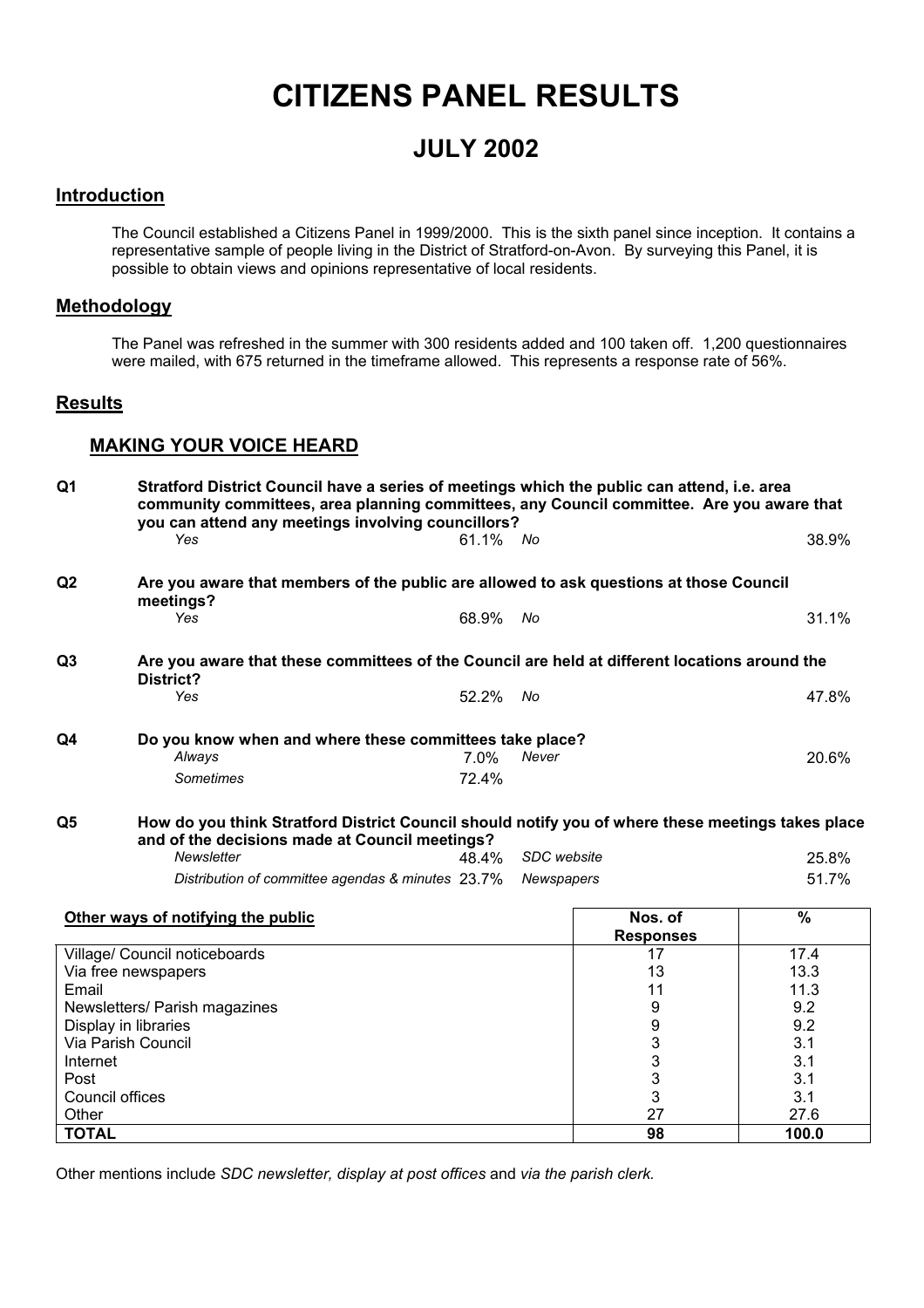# **CITIZENS PANEL RESULTS**

## **JULY 2002**

### **Introduction**

The Council established a Citizens Panel in 1999/2000. This is the sixth panel since inception. It contains a representative sample of people living in the District of Stratford-on-Avon. By surveying this Panel, it is possible to obtain views and opinions representative of local residents.

### **Methodology**

The Panel was refreshed in the summer with 300 residents added and 100 taken off. 1,200 questionnaires were mailed, with 675 returned in the timeframe allowed. This represents a response rate of 56%.

#### **Results**

### **MAKING YOUR VOICE HEARD**

| Q <sub>1</sub>  | Stratford District Council have a series of meetings which the public can attend, i.e. area<br>community committees, area planning committees, any Council committee. Are you aware that<br>you can attend any meetings involving councillors? |       |             |                  |               |  |
|-----------------|------------------------------------------------------------------------------------------------------------------------------------------------------------------------------------------------------------------------------------------------|-------|-------------|------------------|---------------|--|
|                 | Yes                                                                                                                                                                                                                                            | 61.1% | No          |                  | 38.9%         |  |
| Q2              | Are you aware that members of the public are allowed to ask questions at those Council<br>meetings?                                                                                                                                            |       |             |                  |               |  |
|                 | Yes                                                                                                                                                                                                                                            | 68.9% | No          |                  | 31.1%         |  |
| Q <sub>3</sub>  | Are you aware that these committees of the Council are held at different locations around the<br>District?                                                                                                                                     |       |             |                  |               |  |
|                 | Yes                                                                                                                                                                                                                                            | 52.2% | No          |                  | 47.8%         |  |
| Q4              | Do you know when and where these committees take place?<br>Always                                                                                                                                                                              | 7.0%  | Never       |                  | 20.6%         |  |
|                 | Sometimes                                                                                                                                                                                                                                      | 72.4% |             |                  |               |  |
| Q <sub>5</sub>  | How do you think Stratford District Council should notify you of where these meetings takes place<br>and of the decisions made at Council meetings?                                                                                            |       |             |                  |               |  |
|                 | Newsletter                                                                                                                                                                                                                                     | 48.4% | SDC website |                  | 25.8%         |  |
|                 | Distribution of committee agendas & minutes 23.7%                                                                                                                                                                                              |       | Newspapers  |                  | 51.7%         |  |
|                 | Other ways of notifying the public                                                                                                                                                                                                             |       |             | Nos. of          | $\frac{9}{6}$ |  |
|                 |                                                                                                                                                                                                                                                |       |             | <b>Responses</b> |               |  |
|                 | Village/ Council noticeboards                                                                                                                                                                                                                  |       |             | 17               | 17.4          |  |
|                 | Via free newspapers                                                                                                                                                                                                                            |       |             | 13               | 13.3          |  |
| Email           |                                                                                                                                                                                                                                                |       |             | 11               | 11.3          |  |
|                 | Newsletters/ Parish magazines                                                                                                                                                                                                                  |       |             | 9                | 9.2           |  |
|                 | Display in libraries                                                                                                                                                                                                                           |       |             | 9                | 9.2           |  |
|                 | Via Parish Council                                                                                                                                                                                                                             |       |             | $\mathsf 3$      | 3.1           |  |
| Internet        |                                                                                                                                                                                                                                                |       |             | $\mathsf 3$      | 3.1           |  |
| Post            |                                                                                                                                                                                                                                                |       |             | 3<br>3           | 3.1           |  |
| Council offices |                                                                                                                                                                                                                                                |       |             | 27               | 3.1           |  |
| Other           |                                                                                                                                                                                                                                                |       |             |                  | 27.6          |  |
| <b>TOTAL</b>    |                                                                                                                                                                                                                                                |       |             | 98               | 100.0         |  |

Other mentions include *SDC newsletter, display at post offices* and *via the parish clerk.*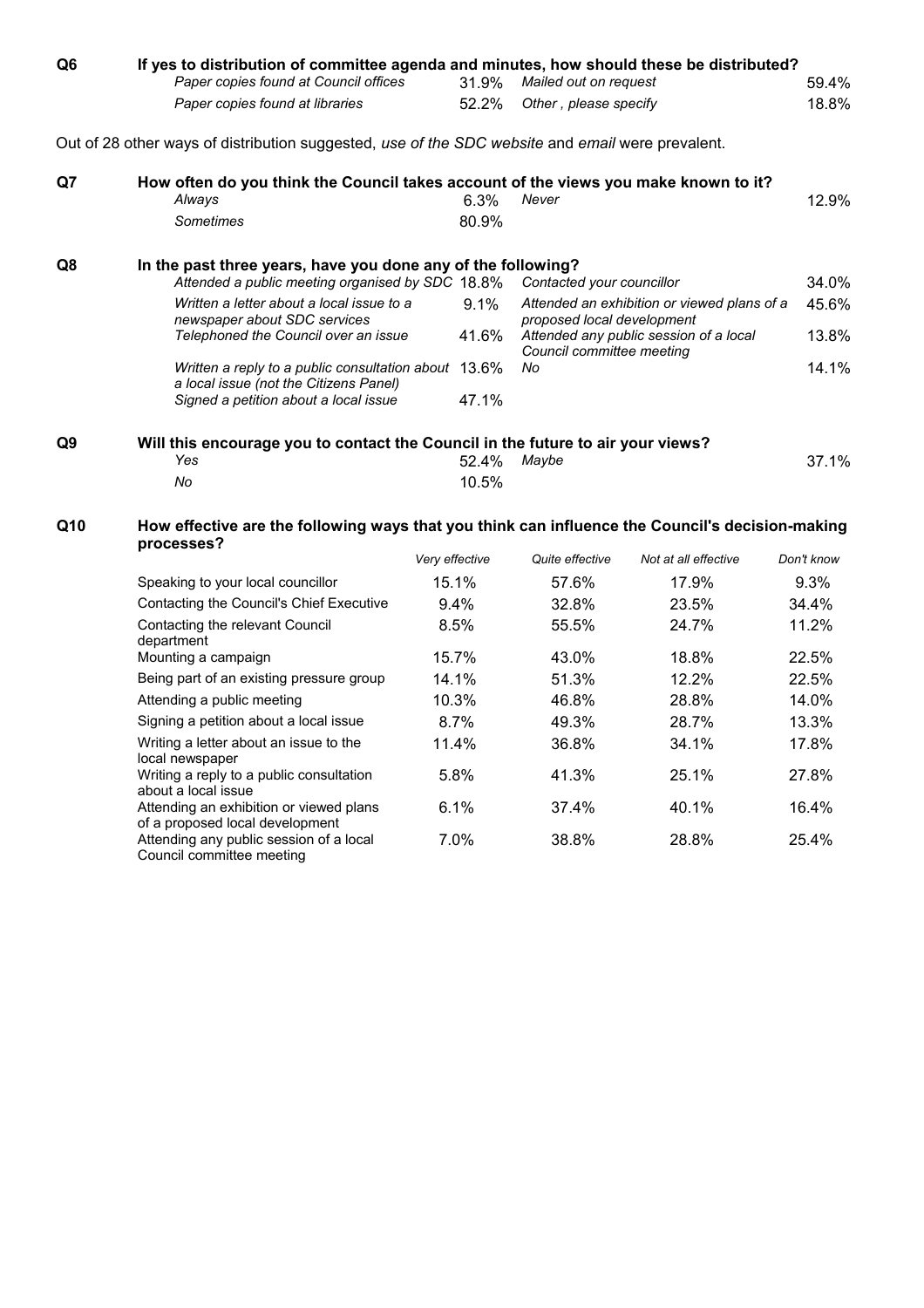| Q <sub>6</sub> | If yes to distribution of committee agenda and minutes, how should these be distributed?<br>Paper copies found at Council offices |                | 31.9% | Mailed out on request      |                                             | 59.4%      |
|----------------|-----------------------------------------------------------------------------------------------------------------------------------|----------------|-------|----------------------------|---------------------------------------------|------------|
|                | Paper copies found at libraries                                                                                                   |                | 52.2% | Other, please specify      |                                             | 18.8%      |
|                | Out of 28 other ways of distribution suggested, use of the SDC website and email were prevalent.                                  |                |       |                            |                                             |            |
| Q7             | How often do you think the Council takes account of the views you make known to it?<br>Always                                     |                | 6.3%  | Never                      |                                             | 12.9%      |
|                | <b>Sometimes</b>                                                                                                                  |                | 80.9% |                            |                                             |            |
| Q8             | In the past three years, have you done any of the following?                                                                      |                |       |                            |                                             |            |
|                | Attended a public meeting organised by SDC 18.8%                                                                                  |                |       | Contacted your councillor  |                                             | 34.0%      |
|                | Written a letter about a local issue to a<br>newspaper about SDC services                                                         |                | 9.1%  | proposed local development | Attended an exhibition or viewed plans of a | 45.6%      |
|                | Telephoned the Council over an issue                                                                                              |                | 41.6% | Council committee meeting  | Attended any public session of a local      | 13.8%      |
|                | Written a reply to a public consultation about 13.6%<br>a local issue (not the Citizens Panel)                                    |                |       | No                         |                                             | 14.1%      |
|                | Signed a petition about a local issue                                                                                             |                | 47.1% |                            |                                             |            |
| Q9             | Will this encourage you to contact the Council in the future to air your views?<br>Yes                                            |                | 52.4% | Maybe                      |                                             | 37.1%      |
|                | No                                                                                                                                |                | 10.5% |                            |                                             |            |
| Q10            | How effective are the following ways that you think can influence the Council's decision-making<br>processes?                     |                |       |                            |                                             |            |
|                |                                                                                                                                   | Very effective |       | Quite effective            | Not at all effective                        | Don't know |
|                | Speaking to your local councillor                                                                                                 | 15.1%          |       | 57.6%                      | 17.9%                                       | 9.3%       |
|                | Contacting the Council's Chief Executive                                                                                          | 9.4%           |       | 32.8%                      | 23.5%                                       | 34.4%      |
|                | Contacting the relevant Council<br>department                                                                                     | 8.5%           |       | 55.5%                      | 24.7%                                       | 11.2%      |
|                | Mounting a campaign                                                                                                               | 15.7%          |       | 43.0%                      | 18.8%                                       | 22.5%      |
|                | Being part of an existing pressure group                                                                                          | 14.1%          |       | 51.3%                      | 12.2%                                       | 22.5%      |
|                | Attending a public meeting                                                                                                        | 10.3%          |       | 46.8%                      | 28.8%                                       | 14.0%      |
|                | Signing a petition about a local issue                                                                                            | 8.7%           |       | 49.3%                      | 28.7%                                       | 13.3%      |
|                | Writing a letter about an issue to the<br>local newspaper                                                                         | 11.4%          |       | 36.8%                      | 34.1%                                       | 17.8%      |
|                | Writing a reply to a public consultation<br>about a local issue                                                                   | 5.8%           |       | 41.3%                      | 25.1%                                       | 27.8%      |
|                | Attending an exhibition or viewed plans<br>of a proposed local development                                                        | 6.1%           |       | 37.4%                      | 40.1%                                       | 16.4%      |
|                | Attending any public session of a local                                                                                           | 7.0%           |       | 38.8%                      | 28.8%                                       | 25.4%      |

Council committee meeting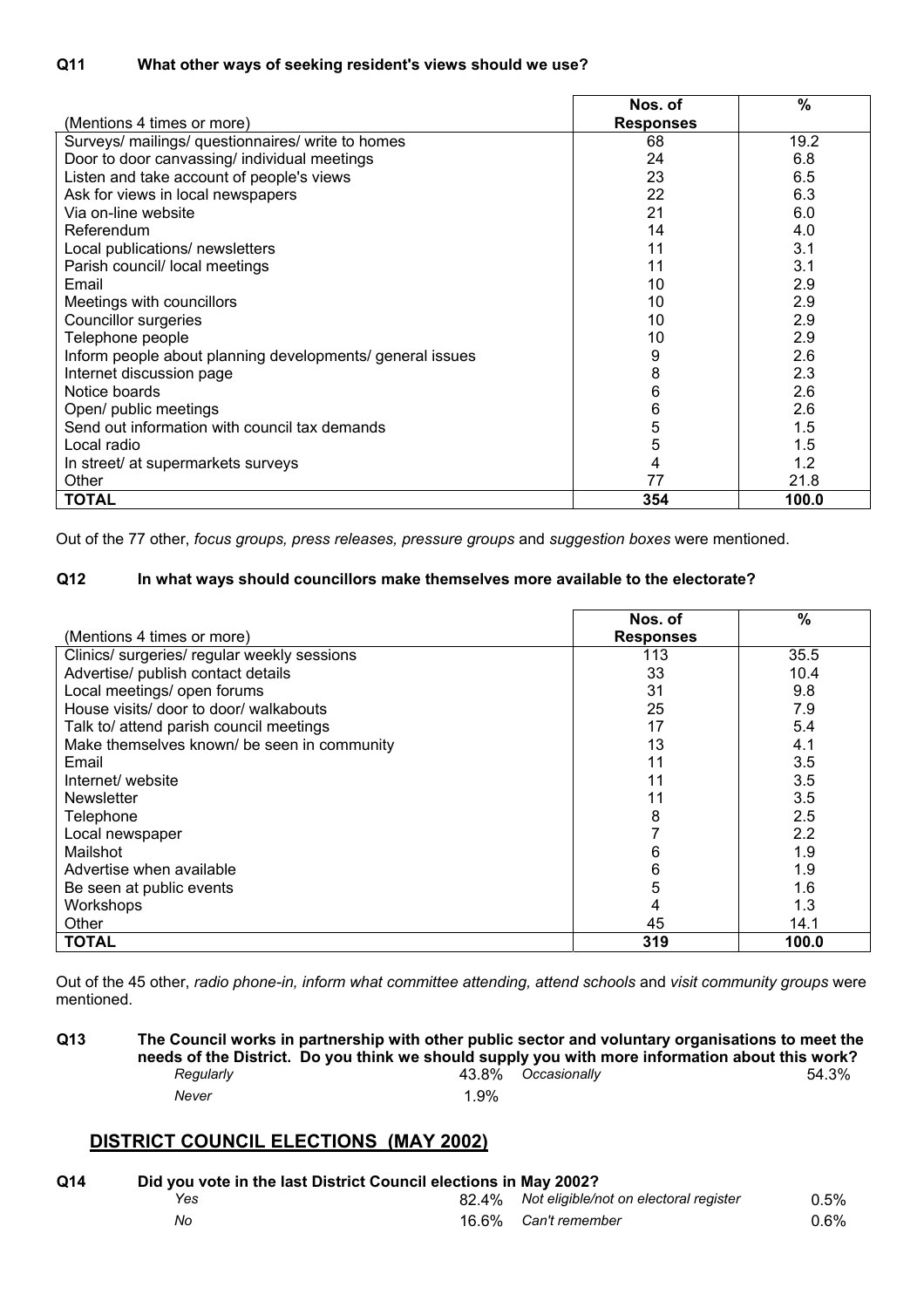|                                                           | Nos. of          | %     |
|-----------------------------------------------------------|------------------|-------|
| (Mentions 4 times or more)                                | <b>Responses</b> |       |
| Surveys/ mailings/ questionnaires/ write to homes         | 68               | 19.2  |
| Door to door canvassing/ individual meetings              | 24               | 6.8   |
| Listen and take account of people's views                 | 23               | 6.5   |
| Ask for views in local newspapers                         | 22               | 6.3   |
| Via on-line website                                       | 21               | 6.0   |
| Referendum                                                | 14               | 4.0   |
| Local publications/ newsletters                           | 11               | 3.1   |
| Parish council/ local meetings                            | 11               | 3.1   |
| Email                                                     | 10               | 2.9   |
| Meetings with councillors                                 | 10               | 2.9   |
| Councillor surgeries                                      | 10               | 2.9   |
| Telephone people                                          | 10               | 2.9   |
| Inform people about planning developments/ general issues | 9                | 2.6   |
| Internet discussion page                                  | 8                | 2.3   |
| Notice boards                                             | 6                | 2.6   |
| Open/ public meetings                                     | 6                | 2.6   |
| Send out information with council tax demands             | 5                | 1.5   |
| Local radio                                               | 5                | 1.5   |
| In street/ at supermarkets surveys                        | 4                | 1.2   |
| Other                                                     | 77               | 21.8  |
| <b>TOTAL</b>                                              | 354              | 100.0 |

Out of the 77 other, *focus groups, press releases, pressure groups* and *suggestion boxes* were mentioned.

#### **Q12 In what ways should councillors make themselves more available to the electorate?**

|                                             | Nos. of          | $\%$  |
|---------------------------------------------|------------------|-------|
| (Mentions 4 times or more)                  | <b>Responses</b> |       |
| Clinics/ surgeries/ regular weekly sessions | 113              | 35.5  |
| Advertise/ publish contact details          | 33               | 10.4  |
| Local meetings/ open forums                 | 31               | 9.8   |
| House visits/ door to door/ walkabouts      | 25               | 7.9   |
| Talk to/ attend parish council meetings     | 17               | 5.4   |
| Make themselves known/ be seen in community | 13               | 4.1   |
| Email                                       | 11               | 3.5   |
| Internet/website                            | 11               | 3.5   |
| <b>Newsletter</b>                           |                  | 3.5   |
| Telephone                                   | 8                | 2.5   |
| Local newspaper                             |                  | 2.2   |
| Mailshot                                    | 6                | 1.9   |
| Advertise when available                    | 6                | 1.9   |
| Be seen at public events                    | 5                | 1.6   |
| Workshops                                   | 4                | 1.3   |
| Other                                       | 45               | 14.1  |
| <b>TOTAL</b>                                | 319              | 100.0 |

Out of the 45 other, *radio phone-in, inform what committee attending, attend schools* and *visit community groups* were mentioned.

| Q13 |           | needs of the District. Do you think we should supply you with more information about this work? |                    | The Council works in partnership with other public sector and voluntary organisations to meet the |
|-----|-----------|-------------------------------------------------------------------------------------------------|--------------------|---------------------------------------------------------------------------------------------------|
|     | Reaularlv |                                                                                                 | 43.8% Occasionally | 54.3%                                                                                             |
|     | Never     | 1.9%                                                                                            |                    |                                                                                                   |

## **DISTRICT COUNCIL ELECTIONS (MAY 2002)**

| Q14 | Did you vote in the last District Council elections in May 2002? |  |                                              |         |  |  |
|-----|------------------------------------------------------------------|--|----------------------------------------------|---------|--|--|
|     | Yes                                                              |  | 82.4% Not eligible/not on electoral register | 0.5%    |  |  |
|     | No                                                               |  | 16.6% Can't remember                         | $0.6\%$ |  |  |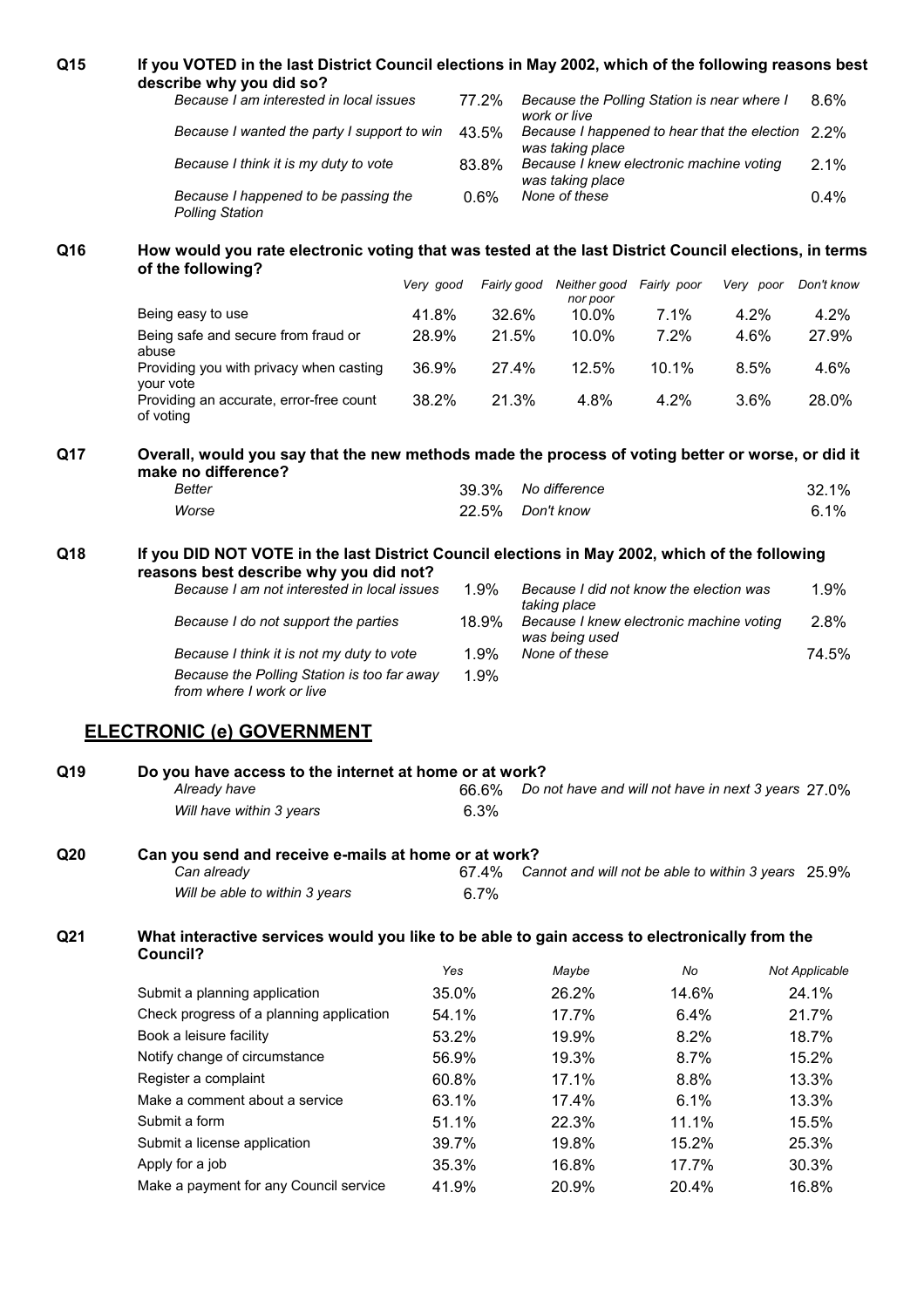| Q15             | If you VOTED in the last District Council elections in May 2002, which of the following reasons best                       |           |       |             |                                                                       |             |           |                |
|-----------------|----------------------------------------------------------------------------------------------------------------------------|-----------|-------|-------------|-----------------------------------------------------------------------|-------------|-----------|----------------|
|                 | describe why you did so?                                                                                                   |           |       |             |                                                                       |             |           |                |
|                 | Because I am interested in local issues                                                                                    |           | 77.2% |             | Because the Polling Station is near where I<br>work or live           |             |           | 8.6%           |
|                 | Because I wanted the party I support to win                                                                                |           | 43.5% |             | Because I happened to hear that the election 2.2%<br>was taking place |             |           |                |
|                 | Because I think it is my duty to vote                                                                                      |           | 83.8% |             | Because I knew electronic machine voting<br>was taking place          |             |           | 2.1%           |
|                 | Because I happened to be passing the<br><b>Polling Station</b>                                                             |           | 0.6%  |             | None of these                                                         |             |           | 0.4%           |
| Q16             | How would you rate electronic voting that was tested at the last District Council elections, in terms<br>of the following? |           |       |             |                                                                       |             |           |                |
|                 |                                                                                                                            | Very good |       | Fairly good | Neither good<br>nor poor                                              | Fairly poor | Very poor | Don't know     |
|                 | Being easy to use                                                                                                          | 41.8%     |       | 32.6%       | 10.0%                                                                 | 7.1%        | 4.2%      | 4.2%           |
|                 | Being safe and secure from fraud or<br>abuse                                                                               | 28.9%     |       | 21.5%       | 10.0%                                                                 | 7.2%        | 4.6%      | 27.9%          |
|                 | Providing you with privacy when casting<br>your vote                                                                       | 36.9%     |       | 27.4%       | 12.5%                                                                 | 10.1%       | 8.5%      | 4.6%           |
|                 | Providing an accurate, error-free count<br>of voting                                                                       | 38.2%     |       | 21.3%       | 4.8%                                                                  | 4.2%        | 3.6%      | 28.0%          |
| Q17             | Overall, would you say that the new methods made the process of voting better or worse, or did it<br>make no difference?   |           |       |             |                                                                       |             |           |                |
|                 | <b>Better</b>                                                                                                              |           | 39.3% |             | No difference                                                         |             |           | 32.1%          |
|                 | Worse                                                                                                                      |           | 22.5% |             | Don't know                                                            |             |           | 6.1%           |
| Q18             | If you DID NOT VOTE in the last District Council elections in May 2002, which of the following                             |           |       |             |                                                                       |             |           |                |
|                 | reasons best describe why you did not?<br>Because I am not interested in local issues                                      |           | 1.9%  |             | Because I did not know the election was                               |             |           | 1.9%           |
|                 | Because I do not support the parties                                                                                       |           | 18.9% |             | taking place<br>Because I knew electronic machine voting              |             |           | 2.8%           |
|                 | Because I think it is not my duty to vote                                                                                  |           | 1.9%  |             | was being used<br>None of these                                       |             |           | 74.5%          |
|                 | Because the Polling Station is too far away<br>from where I work or live                                                   |           | 1.9%  |             |                                                                       |             |           |                |
|                 | <b>ELECTRONIC (e) GOVERNMENT</b>                                                                                           |           |       |             |                                                                       |             |           |                |
| Q19             | Do you have access to the internet at home or at work?<br>Already have                                                     |           | 66.6% |             | Do not have and will not have in next 3 years 27.0%                   |             |           |                |
|                 | Will have within 3 years                                                                                                   |           | 6.3%  |             |                                                                       |             |           |                |
| Q <sub>20</sub> | Can you send and receive e-mails at home or at work?<br>Can already                                                        |           | 67.4% |             | Cannot and will not be able to within 3 years 25.9%                   |             |           |                |
|                 | Will be able to within 3 years                                                                                             |           | 6.7%  |             |                                                                       |             |           |                |
| Q21             | What interactive services would you like to be able to gain access to electronically from the<br>Council?                  |           |       |             |                                                                       |             |           |                |
|                 |                                                                                                                            | Yes       |       |             | Maybe                                                                 | No          |           | Not Applicable |
|                 | Submit a planning application                                                                                              |           | 35.0% |             | 26.2%                                                                 | 14.6%       |           | 24.1%          |
|                 | Check progress of a planning application                                                                                   |           | 54.1% |             | 17.7%                                                                 | 6.4%        |           | 21.7%          |
|                 | Book a leisure facility                                                                                                    |           | 53.2% |             | 19.9%                                                                 | 8.2%        |           | 18.7%          |
|                 | Notify change of circumstance                                                                                              |           | 56.9% |             | 19.3%                                                                 | 8.7%        |           | 15.2%          |
|                 | Register a complaint                                                                                                       |           | 60.8% |             | 17.1%                                                                 | 8.8%        |           | 13.3%          |
|                 | Make a comment about a service                                                                                             |           | 63.1% |             | 17.4%                                                                 | 6.1%        |           | 13.3%          |
|                 | Submit a form                                                                                                              |           | 51.1% |             | 22.3%                                                                 | 11.1%       |           | 15.5%          |
|                 | Submit a license application                                                                                               |           | 39.7% |             | 19.8%                                                                 | 15.2%       |           | 25.3%          |
|                 |                                                                                                                            |           |       |             |                                                                       |             |           |                |
|                 | Apply for a job                                                                                                            |           | 35.3% |             | 16.8%                                                                 | 17.7%       |           | 30.3%          |
|                 | Make a payment for any Council service                                                                                     | 41.9%     |       |             | 20.9%                                                                 | 20.4%       |           | 16.8%          |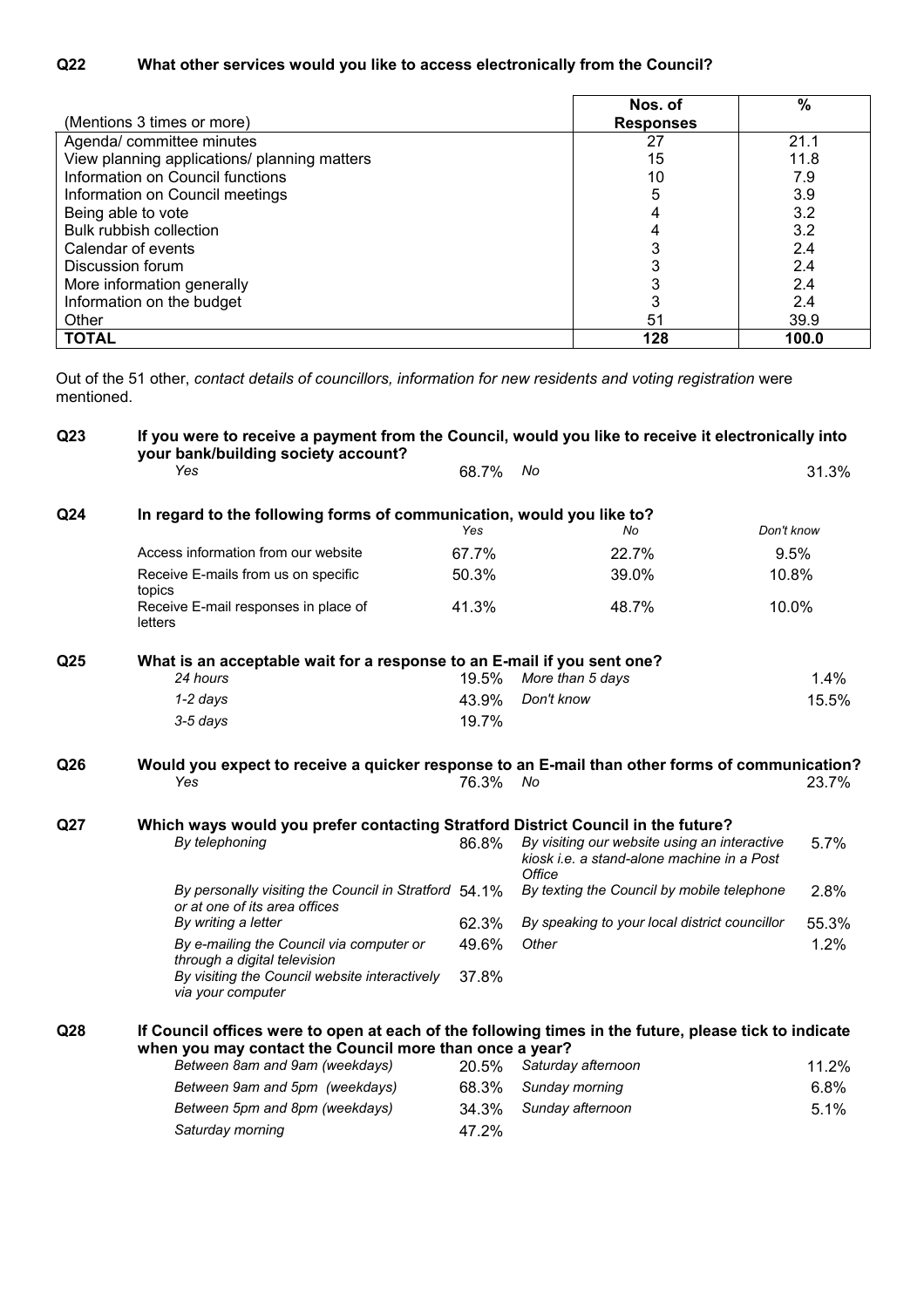| (Mentions 3 times or more)                   | Nos. of<br><b>Responses</b> | $\%$  |
|----------------------------------------------|-----------------------------|-------|
| Agenda/ committee minutes                    | 27                          | 21.1  |
| View planning applications/ planning matters | 15                          | 11.8  |
| Information on Council functions             | 10                          | 7.9   |
| Information on Council meetings              | 5                           | 3.9   |
| Being able to vote                           |                             | 3.2   |
| Bulk rubbish collection                      |                             | 3.2   |
| Calendar of events                           |                             | 2.4   |
| Discussion forum                             |                             | 2.4   |
| More information generally                   |                             | 2.4   |
| Information on the budget                    |                             | 2.4   |
| Other                                        | 51                          | 39.9  |
| <b>TOTAL</b>                                 | 128                         | 100.0 |

Out of the 51 other, *contact details of councillors, information for new residents and voting registration* were mentioned.

| Q <sub>23</sub> | If you were to receive a payment from the Council, would you like to receive it electronically into<br>your bank/building society account?                       |       |                                                                                                      |       |
|-----------------|------------------------------------------------------------------------------------------------------------------------------------------------------------------|-------|------------------------------------------------------------------------------------------------------|-------|
|                 | Yes                                                                                                                                                              | 68.7% | No                                                                                                   | 31.3% |
| Q <sub>24</sub> | In regard to the following forms of communication, would you like to?                                                                                            |       |                                                                                                      |       |
|                 |                                                                                                                                                                  | Yes   | Don't know<br>No                                                                                     |       |
|                 | Access information from our website                                                                                                                              | 67.7% | 22.7%                                                                                                | 9.5%  |
|                 | Receive E-mails from us on specific<br>topics                                                                                                                    | 50.3% | 39.0%<br>10.8%                                                                                       |       |
|                 | Receive E-mail responses in place of<br>letters                                                                                                                  | 41.3% | 10.0%<br>48.7%                                                                                       |       |
| Q <sub>25</sub> | What is an acceptable wait for a response to an E-mail if you sent one?<br>24 hours                                                                              | 19.5% | More than 5 days                                                                                     | 1.4%  |
|                 |                                                                                                                                                                  |       |                                                                                                      |       |
|                 | $1-2$ days                                                                                                                                                       | 43.9% | Don't know                                                                                           | 15.5% |
|                 | 3-5 days                                                                                                                                                         | 19.7% |                                                                                                      |       |
| Q <sub>26</sub> | Would you expect to receive a quicker response to an E-mail than other forms of communication?<br>Yes                                                            | 76.3% | No                                                                                                   | 23.7% |
| Q27             | Which ways would you prefer contacting Stratford District Council in the future?                                                                                 |       |                                                                                                      |       |
|                 | By telephoning                                                                                                                                                   | 86.8% | By visiting our website using an interactive<br>kiosk i.e. a stand-alone machine in a Post<br>Office | 5.7%  |
|                 | By personally visiting the Council in Stratford 54.1%<br>or at one of its area offices                                                                           |       | By texting the Council by mobile telephone                                                           | 2.8%  |
|                 | By writing a letter                                                                                                                                              | 62.3% | By speaking to your local district councillor                                                        | 55.3% |
|                 | By e-mailing the Council via computer or<br>through a digital television                                                                                         | 49.6% | Other                                                                                                | 1.2%  |
|                 | By visiting the Council website interactively<br>via your computer                                                                                               | 37.8% |                                                                                                      |       |
| Q <sub>28</sub> | If Council offices were to open at each of the following times in the future, please tick to indicate<br>when you may contact the Council more than once a year? |       |                                                                                                      |       |
|                 | Between 8am and 9am (weekdays)                                                                                                                                   | 20.5% | Saturday afternoon                                                                                   | 11.2% |
|                 | Between 9am and 5pm (weekdays)                                                                                                                                   | 68.3% | Sunday morning                                                                                       | 6.8%  |
|                 | Between 5pm and 8pm (weekdays)                                                                                                                                   | 34.3% | Sunday afternoon                                                                                     | 5.1%  |
|                 | Saturday morning                                                                                                                                                 | 47.2% |                                                                                                      |       |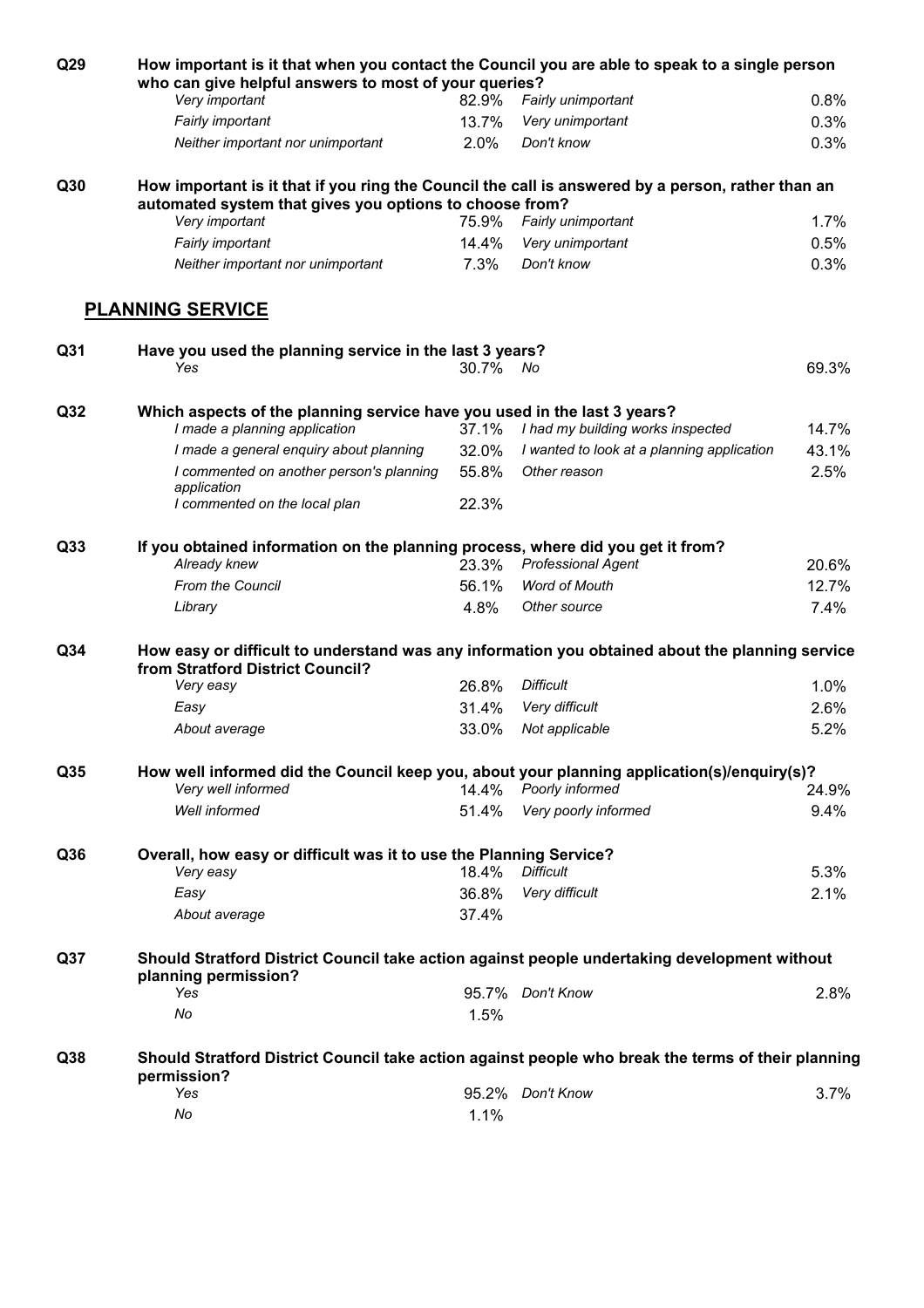| Q29             | How important is it that when you contact the Council you are able to speak to a single person<br>who can give helpful answers to most of your queries?      |          |                                            |       |
|-----------------|--------------------------------------------------------------------------------------------------------------------------------------------------------------|----------|--------------------------------------------|-------|
|                 | Very important                                                                                                                                               | 82.9%    | Fairly unimportant                         | 0.8%  |
|                 | Fairly important                                                                                                                                             | 13.7%    | Very unimportant                           | 0.3%  |
|                 | Neither important nor unimportant                                                                                                                            | 2.0%     | Don't know                                 | 0.3%  |
| Q30             | How important is it that if you ring the Council the call is answered by a person, rather than an<br>automated system that gives you options to choose from? |          |                                            |       |
|                 | Very important                                                                                                                                               | 75.9%    | Fairly unimportant                         | 1.7%  |
|                 | Fairly important                                                                                                                                             | 14.4%    | Very unimportant                           | 0.5%  |
|                 | Neither important nor unimportant                                                                                                                            | 7.3%     | Don't know                                 | 0.3%  |
|                 | <b>PLANNING SERVICE</b>                                                                                                                                      |          |                                            |       |
| Q31             | Have you used the planning service in the last 3 years?<br>Yes                                                                                               | 30.7% No |                                            | 69.3% |
| Q <sub>32</sub> | Which aspects of the planning service have you used in the last 3 years?<br>I made a planning application                                                    | 37.1%    | I had my building works inspected          | 14.7% |
|                 | I made a general enquiry about planning                                                                                                                      | 32.0%    | I wanted to look at a planning application | 43.1% |
|                 | I commented on another person's planning<br>application                                                                                                      | 55.8%    | Other reason                               | 2.5%  |
|                 | I commented on the local plan                                                                                                                                | 22.3%    |                                            |       |
| Q33             | If you obtained information on the planning process, where did you get it from?<br>Already knew                                                              | 23.3%    | <b>Professional Agent</b>                  | 20.6% |
|                 | From the Council                                                                                                                                             | 56.1%    | <b>Word of Mouth</b>                       | 12.7% |
|                 | Library                                                                                                                                                      | 4.8%     | Other source                               | 7.4%  |
| Q <sub>34</sub> | How easy or difficult to understand was any information you obtained about the planning service<br>from Stratford District Council?                          |          |                                            |       |
|                 | Very easy                                                                                                                                                    | 26.8%    | <b>Difficult</b>                           | 1.0%  |
|                 | Easy                                                                                                                                                         | 31.4%    | Very difficult                             | 2.6%  |
|                 | About average                                                                                                                                                | 33.0%    | Not applicable                             | 5.2%  |
| Q35             | How well informed did the Council keep you, about your planning application(s)/enquiry(s)?<br>Very well informed                                             |          | 14.4% Poorly informed                      | 24.9% |
|                 | Well informed                                                                                                                                                | 51.4%    | Very poorly informed                       | 9.4%  |
| Q36             | Overall, how easy or difficult was it to use the Planning Service?                                                                                           |          |                                            |       |
|                 | Very easy                                                                                                                                                    | 18.4%    | <b>Difficult</b>                           | 5.3%  |
|                 | Easy                                                                                                                                                         | 36.8%    | Very difficult                             | 2.1%  |
|                 | About average                                                                                                                                                | 37.4%    |                                            |       |
| Q <sub>37</sub> | Should Stratford District Council take action against people undertaking development without<br>planning permission?                                         |          |                                            |       |
|                 | Yes                                                                                                                                                          |          | 95.7% Don't Know                           | 2.8%  |
|                 | No                                                                                                                                                           | 1.5%     |                                            |       |
| Q <sub>38</sub> | Should Stratford District Council take action against people who break the terms of their planning<br>permission?                                            |          |                                            |       |
|                 | Yes                                                                                                                                                          |          | 95.2% Don't Know                           | 3.7%  |
|                 | No                                                                                                                                                           | 1.1%     |                                            |       |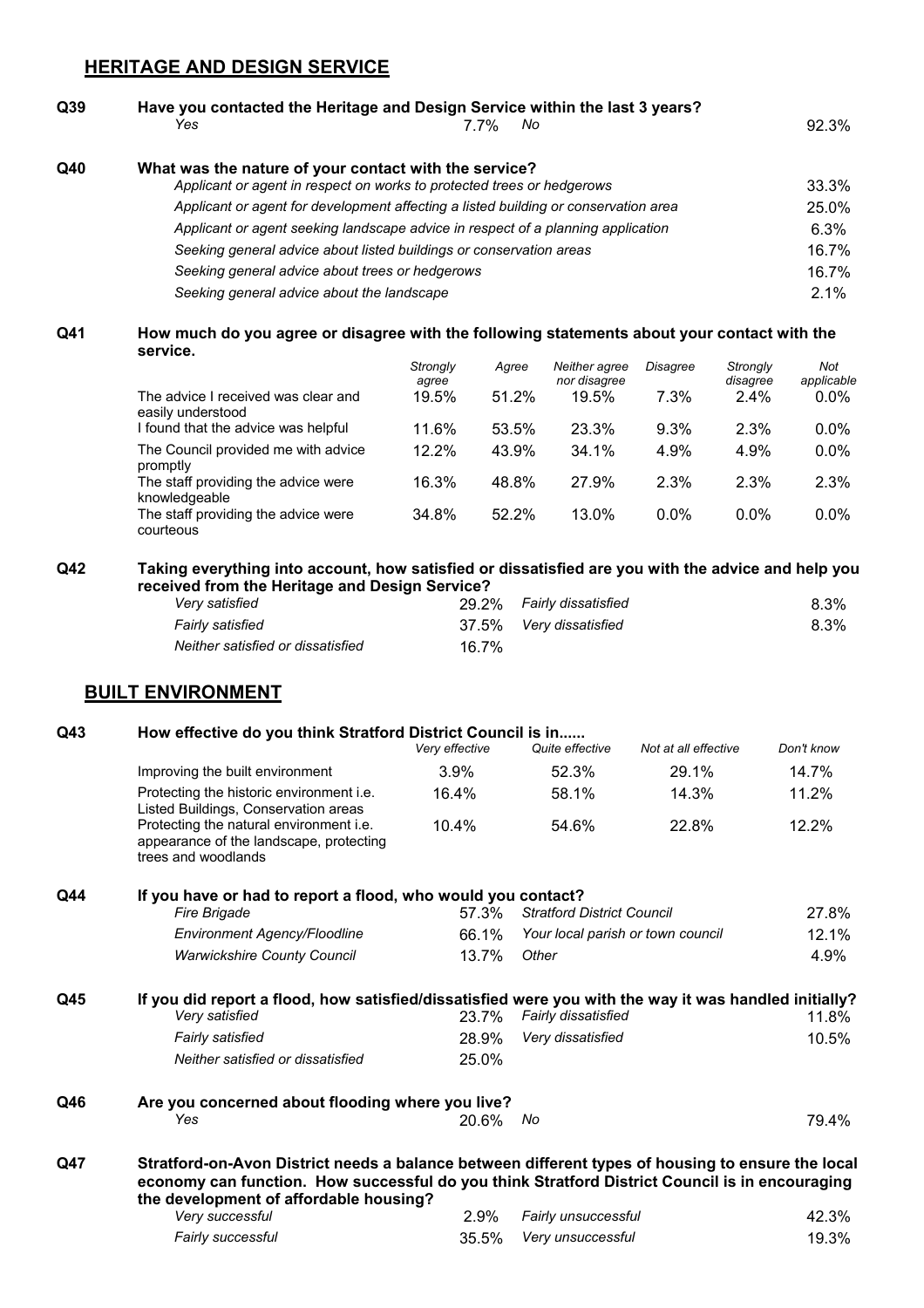### **HERITAGE AND DESIGN SERVICE**

## **Q39 Have you contacted the Heritage and Design Service within the last 3 years?** *Yes* 7.7% *No* 92.3% **Q40 What was the nature of your contact with the service?** *Applicant or agent in respect on works to protected trees or hedgerows* 33.3% *Applicant or agent for development affecting a listed building or conservation area* 25.0% *Applicant or agent seeking landscape advice in respect of a planning application* 6.3% *Seeking general advice about listed buildings or conservation areas* 16.7% *Seeking general advice about trees or hedgerows* 16.7% *Seeking general advice about the landscape* 2.1%

#### **Q41 How much do you agree or disagree with the following statements about your contact with the service.**

|                                                          | Strongly<br>agree | Agree | Neither agree<br>nor disagree | Disagree | Strongly<br>disagree | Not<br>applicable |
|----------------------------------------------------------|-------------------|-------|-------------------------------|----------|----------------------|-------------------|
| The advice I received was clear and<br>easily understood | 19.5%             | 51.2% | 19.5%                         | 7.3%     | $2.4\%$              | $0.0\%$           |
| I found that the advice was helpful                      | 11.6%             | 53.5% | 23.3%                         | $9.3\%$  | 2.3%                 | $0.0\%$           |
| The Council provided me with advice<br>promptly          | 12.2%             | 43.9% | 34.1%                         | 4.9%     | 4.9%                 | $0.0\%$           |
| The staff providing the advice were<br>knowledgeable     | 16.3%             | 48.8% | 27.9%                         | 2.3%     | 2.3%                 | 2.3%              |
| The staff providing the advice were<br>courteous         | 34.8%             | 52.2% | $13.0\%$                      | $0.0\%$  | $0.0\%$              | $0.0\%$           |

#### **Q42 Taking everything into account, how satisfied or dissatisfied are you with the advice and help you received from the Heritage and Design Service?**

| Very satisfied                    |       | 29.2% Fairly dissatisfied | $8.3\%$ |
|-----------------------------------|-------|---------------------------|---------|
| Fairly satisfied                  |       | 37.5% Very dissatisfied   | $8.3\%$ |
| Neither satisfied or dissatisfied | 16.7% |                           |         |

#### **BUILT ENVIRONMENT**

#### **Q43 How effective do you think Stratford District Council is in......**

|                                                                                                           | Very effective | Quite effective | Not at all effective | Don't know |
|-----------------------------------------------------------------------------------------------------------|----------------|-----------------|----------------------|------------|
| Improving the built environment                                                                           | $3.9\%$        | 52.3%           | 29.1%                | 14.7%      |
| Protecting the historic environment <i>i.e.</i><br>Listed Buildings, Conservation areas                   | 16.4%          | 58.1%           | 14.3%                | 11.2%      |
| Protecting the natural environment i.e.<br>appearance of the landscape, protecting<br>trees and woodlands | 10.4%          | 54.6%           | 22.8%                | 12.2%      |

#### **Q44 If you have or had to report a flood, who would you contact?**

| <b>Fire Brigade</b>                 |             | 57.3% Stratford District Council        | 27.8% |
|-------------------------------------|-------------|-----------------------------------------|-------|
| <b>Environment Agency/Floodline</b> |             | 66.1% Your local parish or town council | 12.1% |
| <b>Warwickshire County Council</b>  | 13.7% Other |                                         | 4.9%  |

#### **Q45 If you did report a flood, how satisfied/dissatisfied were you with the way it was handled initially?** *Very satisfied* 23.7% *Fairly dissatisfied* 11.8% *Fairly satisfied* 28.9% *Very dissatisfied* 10.5% *Neither satisfied or dissatisfied* 25.0%

## **Q46 Are you concerned about flooding where you live?** *Yes* 20.6% *No* 79.4%

**Q47 Stratford-on-Avon District needs a balance between different types of housing to ensure the local economy can function. How successful do you think Stratford District Council is in encouraging the development of affordable housing?**

| Very successful   | 2.9% Fairly unsuccessful | 42.3% |
|-------------------|--------------------------|-------|
| Fairly successful | 35.5% Very unsuccessful  | 19.3% |